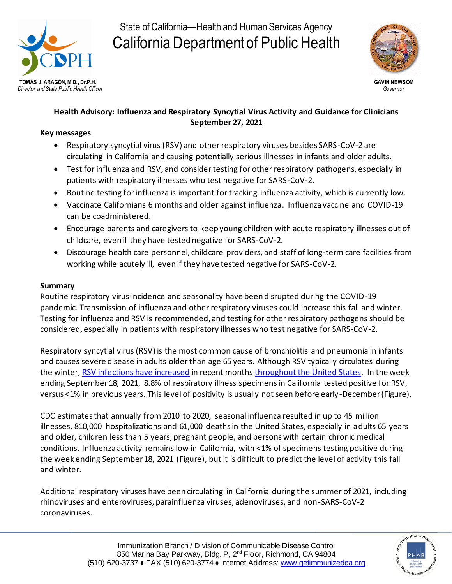

# State of California—Health and Human Services Agency California Department of Public Health



## **Health Advisory: Influenza and Respiratory Syncytial Virus Activity and Guidance for Clinicians September 27, 2021**

### **Key messages**

- Respiratory syncytial virus (RSV) and other respiratory viruses besides SARS-CoV-2 are circulating in California and causing potentially serious illnesses in infants and older adults.
- Test for influenza and RSV, and consider testing for other respiratory pathogens, especially in patients with respiratory illnesses who test negative for SARS-CoV-2.
- Routine testing for influenza is important for tracking influenza activity, which is currently low.
- Vaccinate Californians 6 months and older against influenza. Influenza vaccine and COVID-19 can be coadministered.
- Encourage parents and caregivers to keep young children with acute respiratory illnesses out of childcare, even if they have tested negative for SARS-CoV-2.
- Discourage health care personnel, childcare providers, and staff of long-term care facilities from working while acutely ill, even if they have tested negative for SARS-CoV-2.

### **Summary**

Routine respiratory virus incidence and seasonality have been disrupted during the COVID-19 pandemic. Transmission of influenza and other respiratory viruses could increase this fall and winter. Testing for influenza and RSV is recommended, and testing for other respiratory pathogens should be considered, especially in patients with respiratory illnesses who test negative for SARS-CoV-2.

Respiratory syncytial virus (RSV) is the most common cause of bronchiolitis and pneumonia in infants and causes severe disease in adults older than age 65 years. Although RSV typically circulates during the winter[, RSV infections have increase](https://emergency.cdc.gov/han/2021/han00443.asp)d in recent month[s throughout the United States.](https://www.cdc.gov/surveillance/nrevss/rsv/region.html) In the week ending September 18, 2021, 8.8% of respiratory illness specimens in California tested positive for RSV, versus <1% in previous years. This level of positivity is usually not seen before early-December (Figure).

CDC estimates that annually from 2010 to 2020, seasonal influenza resulted in up to 45 million illnesses, 810,000 hospitalizations and 61,000 deaths in the United States, especially in adults 65 years and older, children less than 5 years, pregnant people, and persons with certain chronic medical conditions. Influenza activity remains low in California, with <1% of specimens testing positive during the week ending September 18, 2021 (Figure), but it is difficult to predict the level of activity this fall and winter.

Additional respiratory viruses have been circulating in California during the summer of 2021, including rhinoviruses and enteroviruses, parainfluenza viruses, adenoviruses, and non-SARS-CoV-2 coronaviruses.

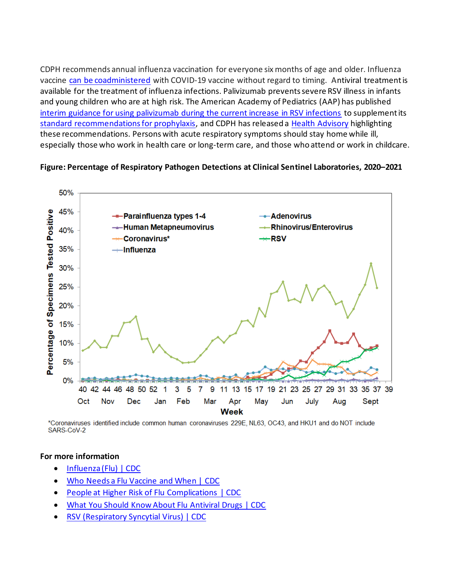CDPH recommends annual influenza vaccination for everyone six months of age and older. Influenza vaccine [can be coadministered](https://www.cdc.gov/vaccines/covid-19/clinical-considerations/covid-19-vaccines-us.html#Coadministration) with COVID-19 vaccine without regard to timing. Antiviral treatment is available for the treatment of influenza infections. Palivizumab prevents severe RSV illness in infants and young children who are at high risk. The American Academy of Pediatrics (AAP) has published [interim guidance for using palivizumab during the current increase in RSV infections](https://services.aap.org/en/pages/2019-novel-coronavirus-covid-19-infections/clinical-guidance/interim-guidance-for-use-of-palivizumab-prophylaxis-to-prevent-hospitalization/) to supplement its [standard recommendations for prophylaxis,](https://pediatrics.aappublications.org/content/134/2/415.full) and CDPH has released a [Health Advisory](https://urldefense.com/v3/__https:/click.icptrack.com/icp/relay.php?r=54298540&msgid=201828&act=O6I2&c=1685203&destination=https*3A*2F*2Feziz.org*2Fassets*2Fdocs*2F2021Aug18OffSeasonRSVActivitySummer.pdf&cf=9345&v=ad51f6016544e2f171a7a5508decffbf2dc6a54eeece1ac4acb7debf62f8df5b__;JSUlJSUl!!AvL6XA!j7LDND3GkcvMNKO4o1tv0f1W9YpG9EGZoxy_Gva6uxy8NMvsLnBE5qUcmpFJ0f393uRZRQ$) highlighting these recommendations. Persons with acute respiratory symptoms should stay home while ill, especially those who work in health care or long-term care, and those who attend or work in childcare.

#### **Figure: Percentage of Respiratory Pathogen Detections at Clinical Sentinel Laboratories, 2020–2021**



\*Coronaviruses identified include common human coronaviruses 229E, NL63, OC43, and HKU1 and do NOT include SARS-CoV-2

#### **For more information**

- [Influenza \(Flu\) | CDC](https://www.cdc.gov/flu/index.htm)
- [Who Needs a Flu Vaccine and When | CDC](https://www.cdc.gov/flu/prevent/vaccinations.htm)
- [People at Higher Risk of Flu Complications | CDC](https://www.cdc.gov/flu/highrisk/index.htm)
- [What You Should Know About Flu Antiviral Drugs | CDC](https://www.cdc.gov/flu/treatment/whatyoushould.htm)
- [RSV \(Respiratory Syncytial Virus\) | CDC](https://www.cdc.gov/rsv/index.html)